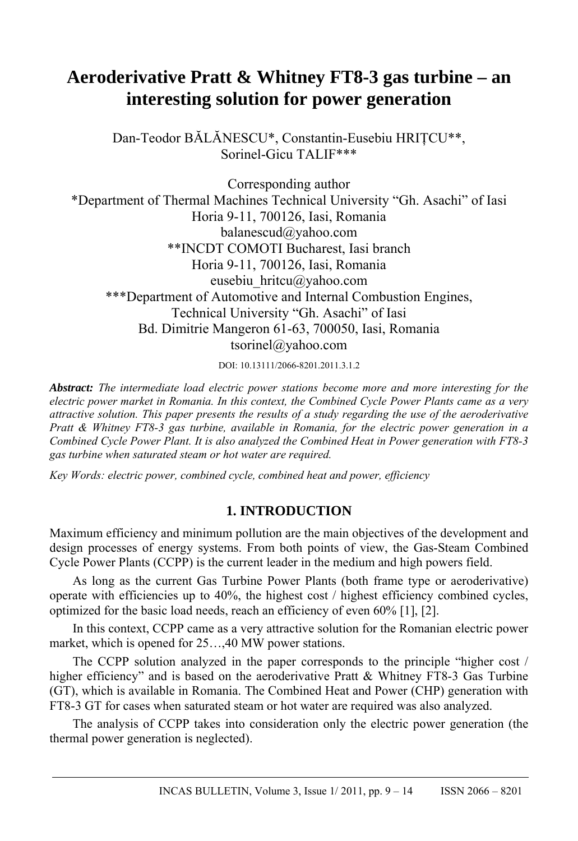# **Aeroderivative Pratt & Whitney FT8-3 gas turbine – an interesting solution for power generation**

Dan-Teodor BĂLĂNESCU\*, Constantin-Eusebiu HRIŢCU\*\*, Sorinel-Gicu TALIF\*\*\*

Corresponding author \*Department of Thermal Machines Technical University "Gh. Asachi" of Iasi Horia 9-11, 700126, Iasi, Romania balanescud@yahoo.com \*\*INCDT COMOTI Bucharest, Iasi branch Horia 9-11, 700126, Iasi, Romania eusebiu hritcu@yahoo.com \*\*\*Department of Automotive and Internal Combustion Engines, Technical University "Gh. Asachi" of Iasi Bd. Dimitrie Mangeron 61-63, 700050, Iasi, Romania tsorinel@yahoo.com

DOI: 10.13111/2066-8201.2011.3.1.2

*Abstract: The intermediate load electric power stations become more and more interesting for the electric power market in Romania. In this context, the Combined Cycle Power Plants came as a very attractive solution. This paper presents the results of a study regarding the use of the aeroderivative Pratt & Whitney FT8-3 gas turbine, available in Romania, for the electric power generation in a Combined Cycle Power Plant. It is also analyzed the Combined Heat in Power generation with FT8-3 gas turbine when saturated steam or hot water are required.* 

*Key Words: electric power, combined cycle, combined heat and power, efficiency*

## **1. INTRODUCTION**

Maximum efficiency and minimum pollution are the main objectives of the development and design processes of energy systems. From both points of view, the Gas-Steam Combined Cycle Power Plants (CCPP) is the current leader in the medium and high powers field.

As long as the current Gas Turbine Power Plants (both frame type or aeroderivative) operate with efficiencies up to 40%, the highest cost / highest efficiency combined cycles, optimized for the basic load needs, reach an efficiency of even 60% [1], [2].

In this context, CCPP came as a very attractive solution for the Romanian electric power market, which is opened for 25…,40 MW power stations.

The CCPP solution analyzed in the paper corresponds to the principle "higher cost / higher efficiency" and is based on the aeroderivative Pratt & Whitney FT8-3 Gas Turbine (GT), which is available in Romania. The Combined Heat and Power (CHP) generation with FT8-3 GT for cases when saturated steam or hot water are required was also analyzed.

The analysis of CCPP takes into consideration only the electric power generation (the thermal power generation is neglected).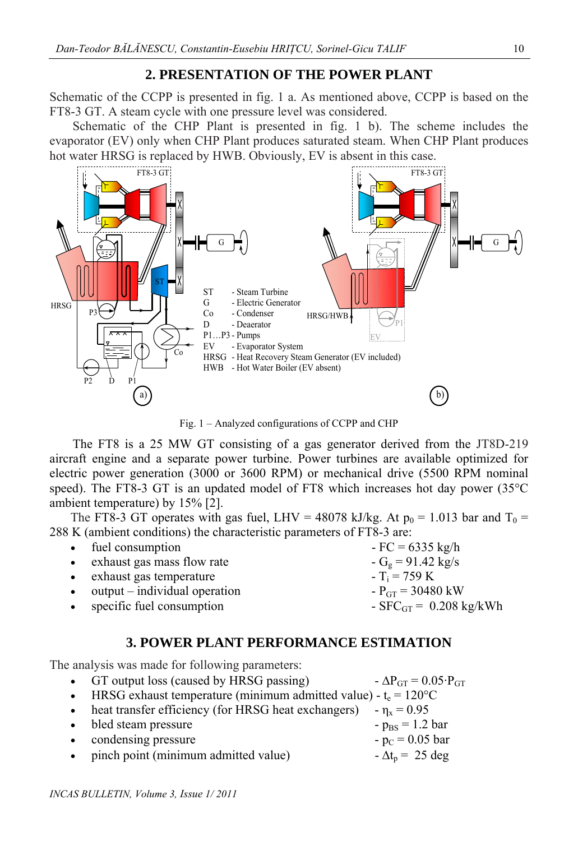## **2. PRESENTATION OF THE POWER PLANT**

Schematic of the CCPP is presented in fig. 1 a. As mentioned above, CCPP is based on the FT8-3 GT. A steam cycle with one pressure level was considered.

Schematic of the CHP Plant is presented in fig. 1 b). The scheme includes the evaporator (EV) only when CHP Plant produces saturated steam. When CHP Plant produces hot water HRSG is replaced by HWB. Obviously, EV is absent in this case.



Fig. 1 – Analyzed configurations of CCPP and CHP

The FT8 is a 25 MW GT consisting of a gas generator derived from the JT8D-219 aircraft engine and a separate power turbine. Power turbines are available optimized for electric power generation (3000 or 3600 RPM) or mechanical drive (5500 RPM nominal speed). The FT8-3 GT is an updated model of FT8 which increases hot day power (35°C ambient temperature) by 15% [2].

The FT8-3 GT operates with gas fuel, LHV = 48078 kJ/kg. At  $p_0 = 1.013$  bar and  $T_0 =$ 288 K (ambient conditions) the characteristic parameters of FT8-3 are:

| • fuel consumption              | $-FC = 6335$ kg/h              |
|---------------------------------|--------------------------------|
| • exhaust gas mass flow rate    | $-Ge = 91.42$ kg/s             |
| • exhaust gas temperature       | $-T_i = 759 \text{ K}$         |
| $output - individual operation$ | $-P_{GT} = 30480$ kW           |
| • specific fuel consumption     | $-$ SFC $_{GT}$ = 0.208 kg/kWh |
|                                 |                                |

## **3. POWER PLANT PERFORMANCE ESTIMATION**

The analysis was made for following parameters:

GT output loss (caused by HRSG passing)  $\Delta P_{GT} = 0.05 \cdot P_{GT}$ HRSG exhaust temperature (minimum admitted value) -  $t_e = 120^{\circ}C$ • heat transfer efficiency (for HRSG heat exchangers)  $-\eta_x = 0.95$ bled steam pressure  $-p_{\text{BS}} = 1.2 \text{ bar}$ condensing pressure  $-p_C = 0.05$  bar pinch point (minimum admitted value)  $-\Delta t_p = 25 \text{ deg}$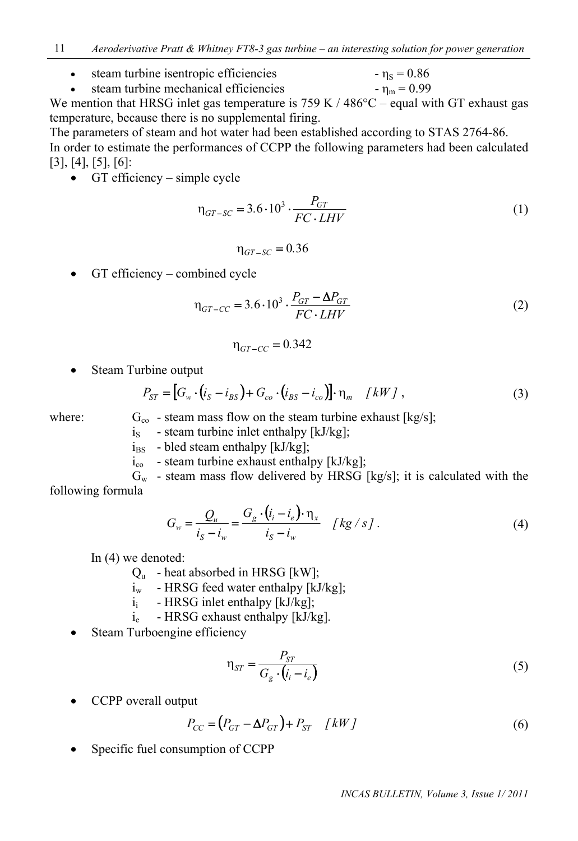• steam turbine isentropic efficiencies -  $\eta_s = 0.86$ 

$$
eta function = mean = 0.99
$$

We mention that HRSG inlet gas temperature is 759 K / 486 $^{\circ}$ C – equal with GT exhaust gas temperature, because there is no supplemental firing.

The parameters of steam and hot water had been established according to STAS 2764-86. In order to estimate the performances of CCPP the following parameters had been calculated [3], [4], [5], [6]:

 $\bullet$  GT efficiency – simple cycle

$$
\eta_{GT-SC} = 3.6 \cdot 10^3 \cdot \frac{P_{GT}}{FC \cdot LHV} \tag{1}
$$

$$
\eta_{GT-SC} = 0.36
$$

 $\bullet$  GT efficiency – combined cycle

$$
\eta_{GT-CC} = 3.6 \cdot 10^3 \cdot \frac{P_{GT} - \Delta P_{GT}}{FC \cdot LHV}
$$
\n(2)

$$
\eta_{GT-CC} = 0.342
$$

• Steam Turbine output

$$
P_{ST} = [G_w \cdot (i_S - i_{BS}) + G_{co} \cdot (i_{BS} - i_{co})] \cdot \eta_m \quad [kW] ,
$$
 (3)

where:  $G_{\rm co}$  - steam mass flow on the steam turbine exhaust [kg/s];

- $i<sub>S</sub>$  steam turbine inlet enthalpy [kJ/kg];
- $i_{BS}$  bled steam enthalpy [kJ/kg];
- $i_{\rm co}$  steam turbine exhaust enthalpy [kJ/kg];

 $G_w$  - steam mass flow delivered by HRSG [kg/s]; it is calculated with the following formula

$$
G_w = \frac{Q_u}{i_S - i_w} = \frac{G_g \cdot (i_i - i_e) \cdot \eta_x}{i_S - i_w} \quad [kg/s]. \tag{4}
$$

In (4) we denoted:

- $Q_{u}$  heat absorbed in HRSG [kW];
- $i_w$  HRSG feed water enthalpy [kJ/kg];
- $i_i$  HRSG inlet enthalpy [kJ/kg];
- ie HRSG exhaust enthalpy [kJ/kg].
- Steam Turboengine efficiency

$$
\eta_{ST} = \frac{P_{ST}}{G_g \cdot (i_i - i_e)}\tag{5}
$$

CCPP overall output

$$
P_{CC} = (P_{GT} - \Delta P_{GT}) + P_{ST} \quad [kW]
$$
\n<sup>(6)</sup>

Specific fuel consumption of CCPP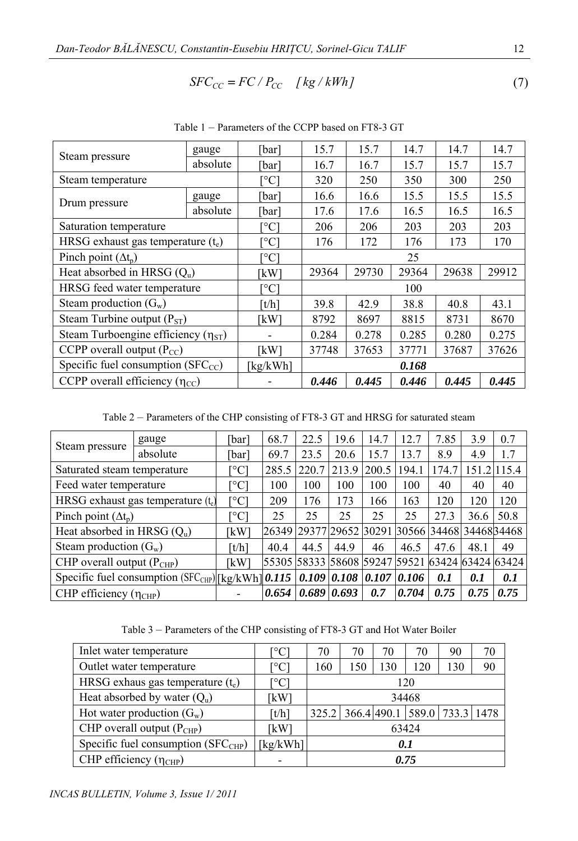$$
SFC_{CC} = FC / P_{CC} \quad [kg / kWh]
$$
 (7)

|                                            | gauge                          | [bar] | 15.7  | 15.7  | 14.7  | 14.7  | 14.7 |  |
|--------------------------------------------|--------------------------------|-------|-------|-------|-------|-------|------|--|
| Steam pressure                             | absolute                       | [bar] | 16.7  | 16.7  | 15.7  | 15.7  | 15.7 |  |
| Steam temperature                          | $\lceil{^\circ}\text{C}\rceil$ | 320   | 250   | 350   | 300   | 250   |      |  |
|                                            | gauge                          | [bar] | 16.6  | 16.6  | 15.5  | 15.5  | 15.5 |  |
| Drum pressure                              | absolute                       | [bar] | 17.6  | 17.6  | 16.5  | 16.5  | 16.5 |  |
| Saturation temperature                     | <sup>0</sup> Cl                | 206   | 206   | 203   | 203   | 203   |      |  |
| HRSG exhaust gas temperature $(t_e)$       | $^{\circ}\mathrm{Cl}$          | 176   | 172   | 176   | 173   | 170   |      |  |
| Pinch point $(\Delta t_n)$                 | $\rm ^{\circ}C$                | 25    |       |       |       |       |      |  |
| Heat absorbed in HRSG $(Q_u)$              | kW]                            | 29364 | 29730 | 29364 | 29638 | 29912 |      |  |
| HRSG feed water temperature                | $^{\circ}\mathrm{Cl}$          | 100   |       |       |       |       |      |  |
| Steam production $(G_w)$                   | [t/h]                          | 39.8  | 42.9  | 38.8  | 40.8  | 43.1  |      |  |
| Steam Turbine output $(P_{ST})$            | [kW]                           | 8792  | 8697  | 8815  | 8731  | 8670  |      |  |
| Steam Turboengine efficiency $(\eta_{ST})$ |                                | 0.284 | 0.278 | 0.285 | 0.280 | 0.275 |      |  |
| CCPP overall output $(P_{CC})$             | kW]                            | 37748 | 37653 | 37771 | 37687 | 37626 |      |  |
| Specific fuel consumption $(SFC_{CC})$     | [kg/kWh]                       | 0.168 |       |       |       |       |      |  |
| CCPP overall efficiency $(\eta_{CC})$      |                                | 0.446 | 0.445 | 0.446 | 0.445 | 0.445 |      |  |

Table 1 – Parameters of the CCPP based on FT8-3 GT

Table 2 – Parameters of the CHP consisting of FT8-3 GT and HRSG for saturated steam

|                                                                                | gauge                 | [bar] | 68.7  | 22.5            | 19.6                                            | 14.7  | 12.7  | 7.85 | 3.9         | 0.7  |
|--------------------------------------------------------------------------------|-----------------------|-------|-------|-----------------|-------------------------------------------------|-------|-------|------|-------------|------|
| Steam pressure                                                                 | absolute              | [bar] | 69.7  | 23.5            | 20.6                                            | 15.7  | 13.7  | 8.9  | 4.9         | 1.7  |
| Saturated steam temperature                                                    | $^{\circ}\mathrm{Cl}$ | 285.5 | 220.7 | 213.9           | 200.5                                           | 194.1 | 174.7 |      | 151.21115.4 |      |
| Feed water temperature                                                         | $^{\circ}$ Cl         | 100   | 100   | 100             | 100                                             | 100   | 40    | 40   | 40          |      |
| HRSG exhaust gas temperature $(t_e)$                                           | [°C]                  | 209   | 176   | 173             | 166                                             | 163   | 120   | 120  | 120         |      |
| Pinch point $(\Delta t_n)$                                                     | ™°Cl                  | 25    | 25    | 25              | 25                                              | 25    | 27.3  | 36.6 | 50.8        |      |
| Heat absorbed in HRSG $(Q_u)$                                                  |                       | [kW]  |       |                 | 26349 29377 29652 30291 30566 34468 34468 34468 |       |       |      |             |      |
| Steam production $(G_w)$                                                       |                       | ⊺t/h1 | 40.4  | 44.5            | 44.9                                            | 46    | 46.5  | 47.6 | 48.1        | 49   |
| CHP overall output $(P_{CHP})$                                                 |                       | [kW]  |       |                 | 55305 58333 58608 59247 59521 63424 63424 63424 |       |       |      |             |      |
| Specific fuel consumption (SFC <sub>CHP</sub> ) [kg/kWh] 0.115   0.109   0.108 |                       |       |       |                 |                                                 | 0.107 | 0.106 | 0.1  | 0.1         | 0.1  |
| CHP efficiency $(\eta_{CHP})$                                                  |                       |       | 0.654 | $0.689$ $0.693$ |                                                 | 0.7   | 0.704 | 0.75 | 0.75        | 0.75 |

Table 3 – Parameters of the CHP consisting of FT8-3 GT and Hot Water Boiler

| Inlet water temperature              | $^{\circ}\mathrm{C}$ | 70    | 70  | 70  | 70  | 90                                 | 70 |  |  |
|--------------------------------------|----------------------|-------|-----|-----|-----|------------------------------------|----|--|--|
| Outlet water temperature             | $^{\circ}\mathrm{C}$ | 160   | 150 | 130 | 120 | 130                                | 90 |  |  |
| HRSG exhaus gas temperature $(t_e)$  | $^{\circ}\mathrm{C}$ | 120   |     |     |     |                                    |    |  |  |
| Heat absorbed by water $(Q_u)$       | [kW]                 | 34468 |     |     |     |                                    |    |  |  |
| Hot water production $(G_w)$         | $\lceil t/h \rceil$  |       |     |     |     | 325.2 366.4 490.1 589.0 733.3 1478 |    |  |  |
| CHP overall output $(P_{CHP})$       | [kW]                 | 63424 |     |     |     |                                    |    |  |  |
| Specific fuel consumption $(SFCCHP)$ | kg/kWh]              | 0.1   |     |     |     |                                    |    |  |  |
| CHP efficiency $(\eta_{CHP})$        |                      | 0.75  |     |     |     |                                    |    |  |  |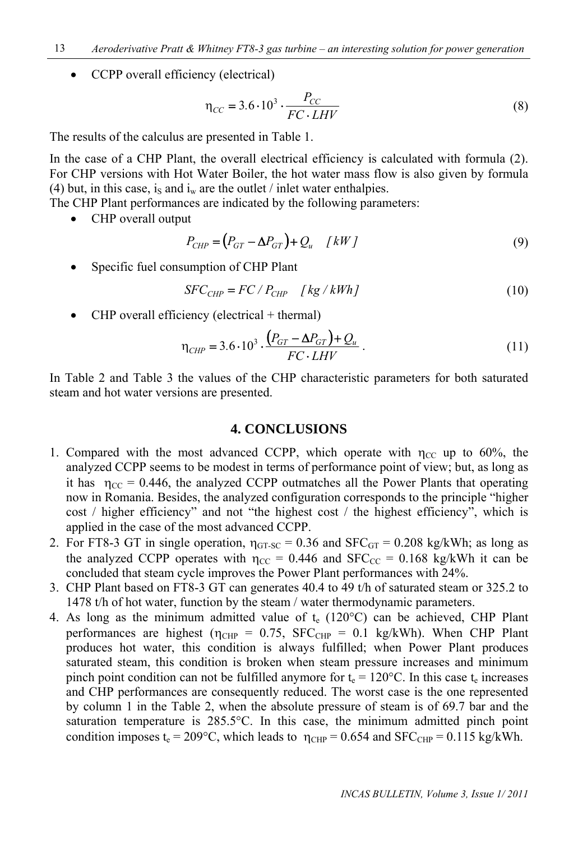• CCPP overall efficiency (electrical)

$$
\eta_{CC} = 3.6 \cdot 10^3 \cdot \frac{P_{CC}}{FC \cdot LHV} \tag{8}
$$

The results of the calculus are presented in Table 1.

In the case of a CHP Plant, the overall electrical efficiency is calculated with formula (2). For CHP versions with Hot Water Boiler, the hot water mass flow is also given by formula (4) but, in this case, is and  $i_w$  are the outlet / inlet water enthalpies.

The CHP Plant performances are indicated by the following parameters:

• CHP overall output

$$
P_{CHP} = (P_{GT} - \Delta P_{GT}) + Q_u \quad [kW]
$$
\n(9)

Specific fuel consumption of CHP Plant

$$
SFC_{CHP} = FC / P_{CHP} \quad [kg / kWh]
$$
 (10)

CHP overall efficiency (electrical + thermal)

$$
\eta_{CHP} = 3.6 \cdot 10^3 \cdot \frac{(P_{GT} - \Delta P_{GT}) + Q_u}{FC \cdot LHV} \,. \tag{11}
$$

In Table 2 and Table 3 the values of the CHP characteristic parameters for both saturated steam and hot water versions are presented.

#### **4. CONCLUSIONS**

- 1. Compared with the most advanced CCPP, which operate with  $\eta_{CC}$  up to 60%, the analyzed CCPP seems to be modest in terms of performance point of view; but, as long as it has  $\eta_{CC} = 0.446$ , the analyzed CCPP outmatches all the Power Plants that operating now in Romania. Besides, the analyzed configuration corresponds to the principle "higher cost / higher efficiency" and not "the highest cost / the highest efficiency", which is applied in the case of the most advanced CCPP.
- 2. For FT8-3 GT in single operation,  $\eta_{\text{GT-SC}} = 0.36$  and SFC<sub>GT</sub> = 0.208 kg/kWh; as long as the analyzed CCPP operates with  $\eta_{CC} = 0.446$  and SFC<sub>CC</sub> = 0.168 kg/kWh it can be concluded that steam cycle improves the Power Plant performances with 24%.
- 3. CHP Plant based on FT8-3 GT can generates 40.4 to 49 t/h of saturated steam or 325.2 to 1478 t/h of hot water, function by the steam / water thermodynamic parameters.
- 4. As long as the minimum admitted value of  $t_e$  (120 $^{\circ}$ C) can be achieved, CHP Plant performances are highest ( $\eta_{CHP} = 0.75$ , SFC<sub>CHP</sub> = 0.1 kg/kWh). When CHP Plant produces hot water, this condition is always fulfilled; when Power Plant produces saturated steam, this condition is broken when steam pressure increases and minimum pinch point condition can not be fulfilled anymore for  $t_e = 120^{\circ}$ C. In this case  $t_e$  increases and CHP performances are consequently reduced. The worst case is the one represented by column 1 in the Table 2, when the absolute pressure of steam is of 69.7 bar and the saturation temperature is 285.5°C. In this case, the minimum admitted pinch point condition imposes t<sub>e</sub> = 209°C, which leads to  $\eta_{CHP}$  = 0.654 and SFC<sub>CHP</sub> = 0.115 kg/kWh.